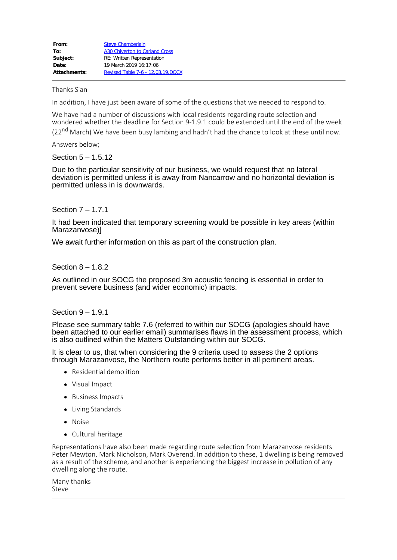| From:        | <b>Steve Chamberlain</b>          |
|--------------|-----------------------------------|
| To:          | A30 Chiverton to Carland Cross    |
| Subject:     | <b>RE: Written Representation</b> |
| Date:        | 19 March 2019 16:17:06            |
| Attachments: | Revised Table 7-6 - 12.03.19.DOCX |

Thanks Sian

In addition, I have just been aware of some of the questions that we needed to respond to.

We have had a number of discussions with local residents regarding route selection and wondered whether the deadline for Section 9-1.9.1 could be extended until the end of the week (22<sup>nd</sup> March) We have been busy lambing and hadn't had the chance to look at these until now.

Answers below;

#### Section 5 – 1.5.12

Due to the particular sensitivity of our business, we would request that no lateral deviation is permitted unless it is away from Nancarrow and no horizontal deviation is permitted unless in is downwards.

## Section 7 – 1.7.1

It had been indicated that temporary screening would be possible in key areas (within Marazanvose)]

We await further information on this as part of the construction plan.

## Section 8 – 1.8.2

As outlined in our SOCG the proposed 3m acoustic fencing is essential in order to prevent severe business (and wider economic) impacts.

## Section 9 – 1.9.1

Please see summary table 7.6 (referred to within our SOCG (apologies should have been attached to our earlier email) summarises flaws in the assessment process, which is also outlined within the Matters Outstanding within our SOCG.

It is clear to us, that when considering the 9 criteria used to assess the 2 options through Marazanvose, the Northern route performs better in all pertinent areas.

- Residential demolition
- Visual Impact
- Business Impacts
- Living Standards
- Noise
- Cultural heritage

Representations have also been made regarding route selection from Marazanvose residents Peter Mewton, Mark Nicholson, Mark Overend. In addition to these, 1 dwelling is being removed as a result of the scheme, and another is experiencing the biggest increase in pollution of any dwelling along the route.

Many thanks Steve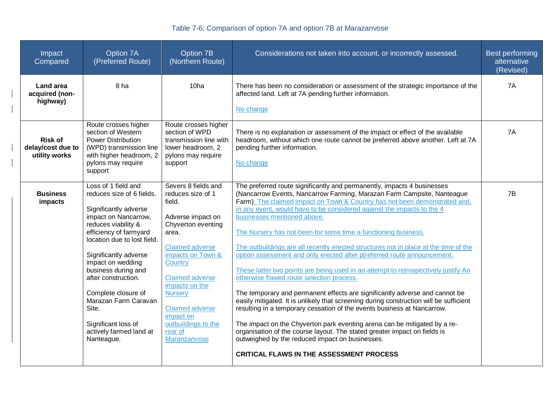# Table 7-6: Comparison of option 7A and option 7B at Marazanvose

| Impact<br>Compared                                   | Option 7A<br>(Preferred Route)                                                                                                                                                                                                                                                                                                                                                                        | Option 7B<br>(Northern Route)                                                                                                                                                                                                                                                                                           | Considerations not taken into account, or incorrectly assessed.                                                                                                                                                                                                                                                                                                                                                                                                                                                                                                                                                                                                                                                                                                                                                                                                                                                                                                                                                                                                                                                                                                                                                                      | Best performing<br>alternative<br>(Revised) |
|------------------------------------------------------|-------------------------------------------------------------------------------------------------------------------------------------------------------------------------------------------------------------------------------------------------------------------------------------------------------------------------------------------------------------------------------------------------------|-------------------------------------------------------------------------------------------------------------------------------------------------------------------------------------------------------------------------------------------------------------------------------------------------------------------------|--------------------------------------------------------------------------------------------------------------------------------------------------------------------------------------------------------------------------------------------------------------------------------------------------------------------------------------------------------------------------------------------------------------------------------------------------------------------------------------------------------------------------------------------------------------------------------------------------------------------------------------------------------------------------------------------------------------------------------------------------------------------------------------------------------------------------------------------------------------------------------------------------------------------------------------------------------------------------------------------------------------------------------------------------------------------------------------------------------------------------------------------------------------------------------------------------------------------------------------|---------------------------------------------|
| <b>Land area</b><br>acquired (non-<br>highway)       | 8 ha                                                                                                                                                                                                                                                                                                                                                                                                  | 10 <sub>ha</sub>                                                                                                                                                                                                                                                                                                        | There has been no consideration or assessment of the strategic importance of the<br>affected land. Left at 7A pending further information.<br>No change                                                                                                                                                                                                                                                                                                                                                                                                                                                                                                                                                                                                                                                                                                                                                                                                                                                                                                                                                                                                                                                                              | 7A                                          |
| <b>Risk of</b><br>delay/cost due to<br>utility works | Route crosses higher<br>section of Western<br><b>Power Distribution</b><br>(WPD) transmission line<br>with higher headroom, 2<br>pylons may require<br>support                                                                                                                                                                                                                                        | Route crosses higher<br>section of WPD<br>transmission line with<br>lower headroom, 2<br>pylons may require<br>support                                                                                                                                                                                                  | There is no explanation or assessment of the impact or effect of the available<br>headroom, without which one route cannot be preferred above another. Left at 7A<br>pending further information.<br>No change                                                                                                                                                                                                                                                                                                                                                                                                                                                                                                                                                                                                                                                                                                                                                                                                                                                                                                                                                                                                                       | 7A                                          |
| <b>Business</b><br>impacts                           | Loss of 1 field and<br>reduces size of 6 fields.<br>Significantly adverse<br>impact on Nancarrow,<br>reduces viability &<br>efficiency of farmyard<br>location due to lost field.<br>Significantly adverse<br>impact on wedding<br>business during and<br>after construction.<br>Complete closure of<br>Marazan Farm Caravan<br>Site.<br>Significant loss of<br>actively farmed land at<br>Nanteague. | Severs 8 fields and<br>reduces size of 1<br>field.<br>Adverse impact on<br>Chyverton eventing<br>area.<br><b>Claimed adverse</b><br>impacts on Town &<br>Country<br><b>Claimed adverse</b><br>impacts on the<br><b>Nursery</b><br><b>Claimed adverse</b><br>impact on<br>outbuildings to the<br>rear of<br>Maranzanvose | The preferred route significantly and permanently, impacts 4 businesses<br>(Nancarrow Events, Nancarrow Farming, Marazan Farm Campsite, Nanteague<br>Farm). The claimed impact on Town & Country has not been demonstrated and,<br>in any event, would have to be considered against the impacts to the 4<br>businesses mentioned above.<br>The Nursery has not been for some time a functioning business.<br>The outbuildings are all recently erected structures not in place at the time of the<br>option assessment and only erected after p[referred route announcement.<br>These latter two points are being used in an attempt to retrospectively justify An<br>otherwise flawed route selection process.<br>The temporary and permanent effects are significantly adverse and cannot be<br>easily mitigated. It is unlikely that screening during construction will be sufficient<br>resulting in a temporary cessation of the events business at Nancarrow.<br>The impact on the Chyverton park eventing arena can be mitigated by a re-<br>organisation of the course layout. The stated greater impact on fields is<br>outweighed by the reduced impact on businesses.<br><b>CRITICAL FLAWS IN THE ASSESSMENT PROCESS</b> | 7B                                          |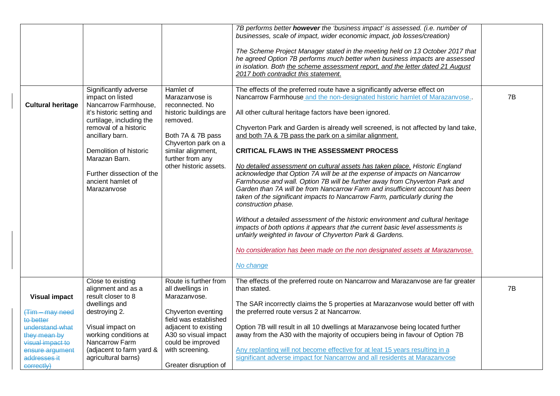| <b>Cultural heritage</b>                                                                             | Significantly adverse<br>impact on listed<br>Nancarrow Farmhouse,<br>it's historic setting and<br>curtilage, including the<br>removal of a historic<br>ancillary barn.<br>Demolition of historic<br>Marazan Barn.<br>Further dissection of the<br>ancient hamlet of<br>Marazanvose | Hamlet of<br>Marazanvose is<br>reconnected. No<br>historic buildings are<br>removed.<br>Both 7A & 7B pass<br>Chyverton park on a<br>similar alignment,<br>further from any<br>other historic assets. | 7B performs better however the 'business impact' is assessed. (i.e. number of<br>businesses, scale of impact, wider economic impact, job losses/creation)<br>The Scheme Project Manager stated in the meeting held on 13 October 2017 that<br>he agreed Option 7B performs much better when business impacts are assessed<br>in isolation. Both the scheme assessment report, and the letter dated 21 August<br>2017 both contradict this statement.<br>The effects of the preferred route have a significantly adverse effect on<br>Nancarrow Farmhouse and the non-designated historic hamlet of Marazanvose.<br>All other cultural heritage factors have been ignored.<br>Chyverton Park and Garden is already well screened, is not affected by land take,<br>and both 7A & 7B pass the park on a similar alignment.<br><b>CRITICAL FLAWS IN THE ASSESSMENT PROCESS</b><br>No detailed assessment on cultural assets has taken place. Historic England<br>acknowledge that Option 7A will be at the expense of impacts on Nancarrow<br>Farmhouse and wall. Option 7B will be further away from Chyverton Park and<br>Garden than 7A will be from Nancarrow Farm and insufficient account has been<br>taken of the significant impacts to Nancarrow Farm, particularly during the<br>construction phase.<br>Without a detailed assessment of the historic environment and cultural heritage<br>impacts of both options it appears that the current basic level assessments is<br>unfairly weighted in favour of Chyverton Park & Gardens.<br>No consideration has been made on the non designated assets at Marazanvose.<br>No change | 7B |
|------------------------------------------------------------------------------------------------------|------------------------------------------------------------------------------------------------------------------------------------------------------------------------------------------------------------------------------------------------------------------------------------|------------------------------------------------------------------------------------------------------------------------------------------------------------------------------------------------------|------------------------------------------------------------------------------------------------------------------------------------------------------------------------------------------------------------------------------------------------------------------------------------------------------------------------------------------------------------------------------------------------------------------------------------------------------------------------------------------------------------------------------------------------------------------------------------------------------------------------------------------------------------------------------------------------------------------------------------------------------------------------------------------------------------------------------------------------------------------------------------------------------------------------------------------------------------------------------------------------------------------------------------------------------------------------------------------------------------------------------------------------------------------------------------------------------------------------------------------------------------------------------------------------------------------------------------------------------------------------------------------------------------------------------------------------------------------------------------------------------------------------------------------------------------------------------------------------------------------------------------------|----|
| <b>Visual impact</b><br><del>(Tim – may need</del><br>to better                                      | Close to existing<br>alignment and as a<br>result closer to 8<br>dwellings and<br>destroying 2.                                                                                                                                                                                    | Route is further from<br>all dwellings in<br>Marazanvose.<br>Chyverton eventing<br>field was established                                                                                             | The effects of the preferred route on Nancarrow and Marazanvose are far greater<br>than stated.<br>The SAR incorrectly claims the 5 properties at Marazanvose would better off with<br>the preferred route versus 2 at Nancarrow.                                                                                                                                                                                                                                                                                                                                                                                                                                                                                                                                                                                                                                                                                                                                                                                                                                                                                                                                                                                                                                                                                                                                                                                                                                                                                                                                                                                                        | 7B |
| understand what<br>they mean by<br>visual impact to<br>ensure argument<br>addresses it<br>correctly) | Visual impact on<br>working conditions at<br>Nancarrow Farm<br>(adjacent to farm yard &<br>agricultural barns)                                                                                                                                                                     | adjacent to existing<br>A30 so visual impact<br>could be improved<br>with screening.<br>Greater disruption of                                                                                        | Option 7B will result in all 10 dwellings at Marazanvose being located further<br>away from the A30 with the majority of occupiers being in favour of Option 7B<br>Any replanting will not become effective for at leat 15 years resulting in a<br>significant adverse impact for Nancarrow and all residents at Marazanvose                                                                                                                                                                                                                                                                                                                                                                                                                                                                                                                                                                                                                                                                                                                                                                                                                                                                                                                                                                                                                                                                                                                                                                                                                                                                                                             |    |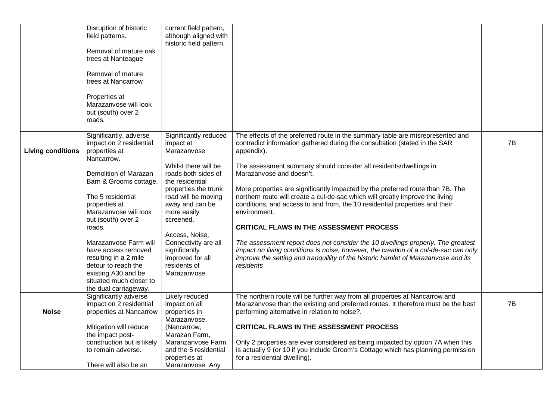|                          | Disruption of historic<br>field patterns.<br>Removal of mature oak<br>trees at Nanteague<br>Removal of mature<br>trees at Nancarrow<br>Properties at<br>Marazanvose will look<br>out (south) over 2<br>roads. | current field pattern,<br>although aligned with<br>historic field pattern.                                                                              |                                                                                                                                                                                                                                                                                                                                                                                                      |    |
|--------------------------|---------------------------------------------------------------------------------------------------------------------------------------------------------------------------------------------------------------|---------------------------------------------------------------------------------------------------------------------------------------------------------|------------------------------------------------------------------------------------------------------------------------------------------------------------------------------------------------------------------------------------------------------------------------------------------------------------------------------------------------------------------------------------------------------|----|
| <b>Living conditions</b> | Significantly, adverse<br>impact on 2 residential<br>properties at<br>Nancarrow.<br>Demolition of Marazan                                                                                                     | Significantly reduced<br>impact at<br>Marazanvose<br>Whilst there will be<br>roads both sides of                                                        | The effects of the preferred route in the summary table are misrepresented and<br>contradict information gathered during the consultation (stated in the SAR<br>appendix).<br>The assessment summary should consider all residents/dwellings in<br>Marazanvose and doesn't.                                                                                                                          | 7B |
|                          | Barn & Grooms cottage.<br>The 5 residential<br>properties at<br>Marazanvose will look<br>out (south) over 2<br>roads.<br>Marazanvose Farm will                                                                | the residential<br>properties the trunk<br>road will be moving<br>away and can be<br>more easily<br>screened.<br>Access, Noise,<br>Connectivity are all | More properties are significantly impacted by the preferred route than 7B. The<br>northern route will create a cul-de-sac which will greatly improve the living<br>conditions, and access to and from, the 10 residential properties and their<br>environment.<br><b>CRITICAL FLAWS IN THE ASSESSMENT PROCESS</b><br>The assessment report does not consider the 10 dwellings properly. The greatest |    |
|                          | have access removed<br>resulting in a 2 mile<br>detour to reach the<br>existing A30 and be<br>situated much closer to<br>the dual carriageway.                                                                | significantly<br>improved for all<br>residents of<br>Marazanvose.                                                                                       | impact on living conditions is noise, however, the creation of a cul-de-sac can only<br>improve the setting and tranquillity of the historic hamlet of Marazanvose and its<br>residents                                                                                                                                                                                                              |    |
| <b>Noise</b>             | Significantly adverse<br>impact on 2 residential<br>properties at Nancarrow                                                                                                                                   | Likely reduced<br>impact on all<br>properties in<br>Marazanvose,                                                                                        | The northern route will be further way from all properties at Nancarrow and<br>Marazanvose than the existing and preferred routes. It therefore must be the best<br>performing alternative in relation to noise?.                                                                                                                                                                                    | 7B |
|                          | Mitigation will reduce<br>the impact post-<br>construction but is likely<br>to remain adverse.<br>There will also be an                                                                                       | (Nancarrow,<br>Marazan Farm,<br>Maranzanvose Farm<br>and the 5 residential<br>properties at<br>Marazanvose. Any                                         | <b>CRITICAL FLAWS IN THE ASSESSMENT PROCESS</b><br>Only 2 properties are ever considered as being impacted by option 7A when this<br>is actually 9 (or 10 if you include Groom's Cottage which has planning permission<br>for a residential dwelling).                                                                                                                                               |    |